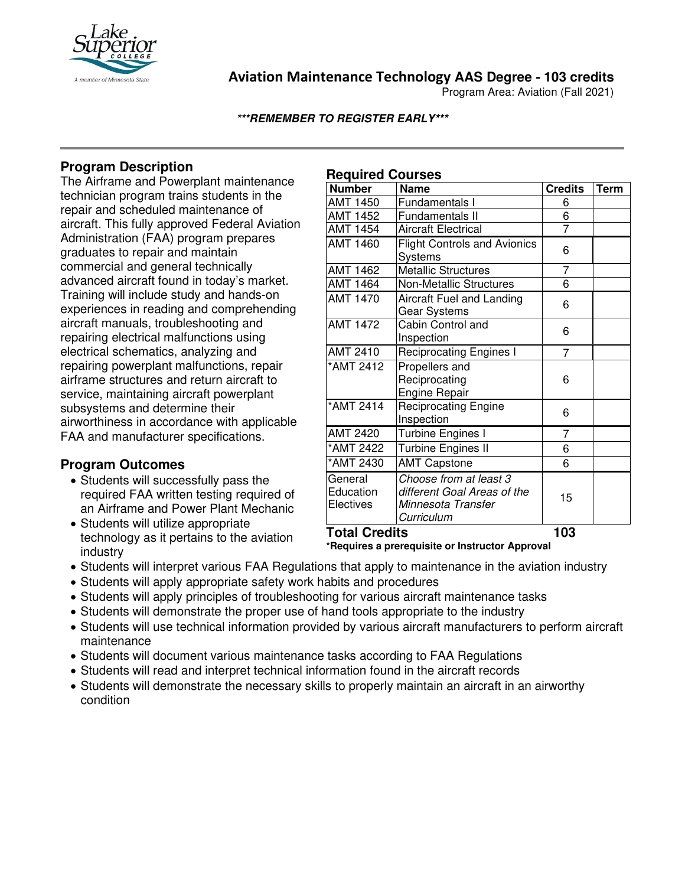

**Aviation Maintenance Technology AAS Degree - 103 credits**

Program Area: Aviation (Fall 2021)

**\*\*\*REMEMBER TO REGISTER EARLY\*\*\***

# **Program Description**

The Airframe and Powerplant maintenance technician program trains students in the repair and scheduled maintenance of aircraft. This fully approved Federal Aviation Administration (FAA) program prepares graduates to repair and maintain commercial and general technically advanced aircraft found in today's market. Training will include study and hands-on experiences in reading and comprehending aircraft manuals, troubleshooting and repairing electrical malfunctions using electrical schematics, analyzing and repairing powerplant malfunctions, repair airframe structures and return aircraft to service, maintaining aircraft powerplant subsystems and determine their airworthiness in accordance with applicable FAA and manufacturer specifications.

## **Program Outcomes**

- Students will successfully pass the required FAA written testing required of an Airframe and Power Plant Mechanic
- Students will utilize appropriate technology as it pertains to the aviation industry

## **Required Courses**

| <b>Number</b>                     | <b>Name</b>                                                                               | <b>Credits</b> | <b>Term</b> |
|-----------------------------------|-------------------------------------------------------------------------------------------|----------------|-------------|
| <b>AMT 1450</b>                   | Fundamentals I                                                                            | 6              |             |
| <b>AMT 1452</b>                   | <b>Fundamentals II</b>                                                                    | 6              |             |
| <b>AMT 1454</b>                   | <b>Aircraft Electrical</b>                                                                | $\overline{7}$ |             |
| <b>AMT 1460</b>                   | <b>Flight Controls and Avionics</b><br>Systems                                            | 6              |             |
| <b>AMT 1462</b>                   | <b>Metallic Structures</b>                                                                | 7              |             |
| <b>AMT 1464</b>                   | <b>Non-Metallic Structures</b>                                                            | $\overline{6}$ |             |
| <b>AMT 1470</b>                   | Aircraft Fuel and Landing<br>Gear Systems                                                 | 6              |             |
| <b>AMT 1472</b>                   | Cabin Control and<br>Inspection                                                           | 6              |             |
| AMT 2410                          | <b>Reciprocating Engines I</b>                                                            | 7              |             |
| *AMT 2412                         | Propellers and<br>Reciprocating<br><b>Engine Repair</b>                                   | 6              |             |
| *AMT 2414                         | <b>Reciprocating Engine</b><br>Inspection                                                 | 6              |             |
| <b>AMT 2420</b>                   | Turbine Engines I                                                                         | $\overline{7}$ |             |
| *AMT 2422                         | <b>Turbine Engines II</b>                                                                 | 6              |             |
| *AMT 2430                         | <b>AMT Capstone</b>                                                                       | 6              |             |
| General<br>Education<br>Electives | Choose from at least 3<br>different Goal Areas of the<br>Minnesota Transfer<br>Curriculum | 15             |             |
| <b>Total Credits</b>              |                                                                                           | 103            |             |

**\*Requires a prerequisite or Instructor Approval**

- Students will interpret various FAA Regulations that apply to maintenance in the aviation industry
- Students will apply appropriate safety work habits and procedures
- Students will apply principles of troubleshooting for various aircraft maintenance tasks
- Students will demonstrate the proper use of hand tools appropriate to the industry
- Students will use technical information provided by various aircraft manufacturers to perform aircraft maintenance
- Students will document various maintenance tasks according to FAA Regulations
- Students will read and interpret technical information found in the aircraft records
- Students will demonstrate the necessary skills to properly maintain an aircraft in an airworthy condition